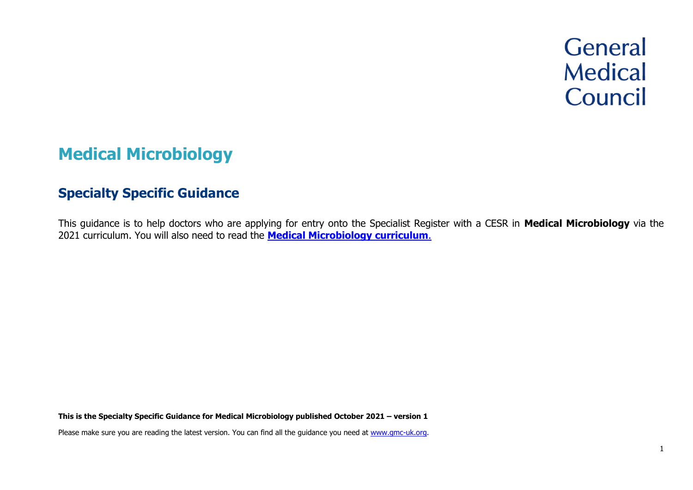# **General Medical** Council

# **Medical Microbiology**

# **Specialty Specific Guidance**

This guidance is to help doctors who are applying for entry onto the Specialist Register with a CESR in **Medical Microbiology** via the 2021 curriculum. You will also need to read the **[Medical Microbiology curriculum](https://www.gmc-uk.org/education/standards-guidance-and-curricula/curricula/medical-microbiology-curriculum)**.

**This is the Specialty Specific Guidance for Medical Microbiology published October 2021 – version 1**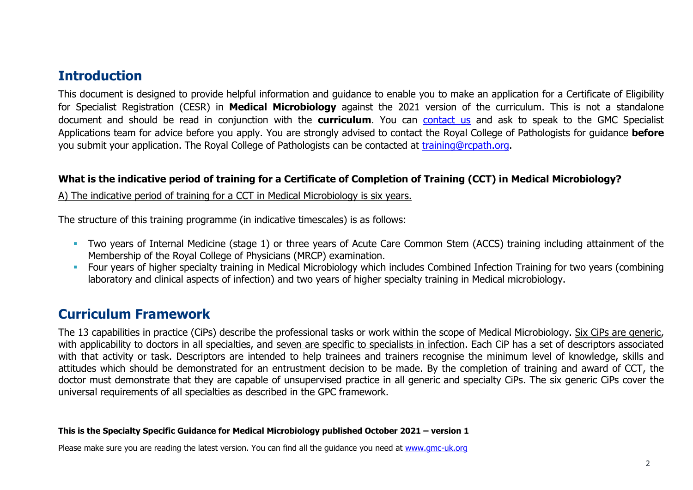# **Introduction**

This document is designed to provide helpful information and guidance to enable you to make an application for a Certificate of Eligibility for Specialist Registration (CESR) in **Medical Microbiology** against the 2021 version of the curriculum. This is not a standalone document and should be read in conjunction with the **curriculum**. You can [contact us](http://www.gmc-uk.org/about/contacts.asp) and ask to speak to the GMC Specialist Applications team for advice before you apply. You are strongly advised to contact the Royal College of Pathologists for guidance **before** you submit your application. The Royal College of Pathologists can be contacted at [training@rcpath.org.](mailto:training@rcpath.org)

### **What is the indicative period of training for a Certificate of Completion of Training (CCT) in Medical Microbiology?**

A) The indicative period of training for a CCT in Medical Microbiology is six years.

The structure of this training programme (in indicative timescales) is as follows:

- **•** Two years of Internal Medicine (stage 1) or three years of Acute Care Common Stem (ACCS) training including attainment of the Membership of the Royal College of Physicians (MRCP) examination.
- **•** Four years of higher specialty training in Medical Microbiology which includes Combined Infection Training for two years (combining laboratory and clinical aspects of infection) and two years of higher specialty training in Medical microbiology.

# **Curriculum Framework**

The 13 capabilities in practice (CiPs) describe the professional tasks or work within the scope of Medical Microbiology. Six CiPs are generic, with applicability to doctors in all specialties, and seven are specific to specialists in infection. Each CiP has a set of descriptors associated with that activity or task. Descriptors are intended to help trainees and trainers recognise the minimum level of knowledge, skills and attitudes which should be demonstrated for an entrustment decision to be made. By the completion of training and award of CCT, the doctor must demonstrate that they are capable of unsupervised practice in all generic and specialty CiPs. The six generic CiPs cover the universal requirements of all specialties as described in the GPC framework.

### **This is the Specialty Specific Guidance for Medical Microbiology published October 2021 – version 1**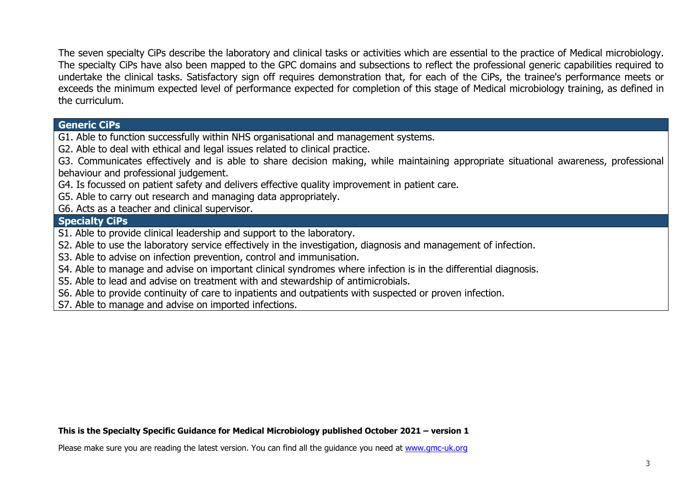The seven specialty CiPs describe the laboratory and clinical tasks or activities which are essential to the practice of Medical microbiology. The specialty CiPs have also been mapped to the GPC domains and subsections to reflect the professional generic capabilities required to undertake the clinical tasks. Satisfactory sign off requires demonstration that, for each of the CiPs, the trainee's performance meets or exceeds the minimum expected level of performance expected for completion of this stage of Medical microbiology training, as defined in the curriculum.

### **Generic CiPs**

G1. Able to function successfully within NHS organisational and management systems.

G2. Able to deal with ethical and legal issues related to clinical practice.

G3. Communicates effectively and is able to share decision making, while maintaining appropriate situational awareness, professional behaviour and professional judgement.

G4. Is focussed on patient safety and delivers effective quality improvement in patient care.

G5. Able to carry out research and managing data appropriately.

G6. Acts as a teacher and clinical supervisor.

### **Specialty CiPs**

S1. Able to provide clinical leadership and support to the laboratory.

S2. Able to use the laboratory service effectively in the investigation, diagnosis and management of infection.

S3. Able to advise on infection prevention, control and immunisation.

S4. Able to manage and advise on important clinical syndromes where infection is in the differential diagnosis.

S5. Able to lead and advise on treatment with and stewardship of antimicrobials.

S6. Able to provide continuity of care to inpatients and outpatients with suspected or proven infection.

S7. Able to manage and advise on imported infections.

### **This is the Specialty Specific Guidance for Medical Microbiology published October 2021 – version 1**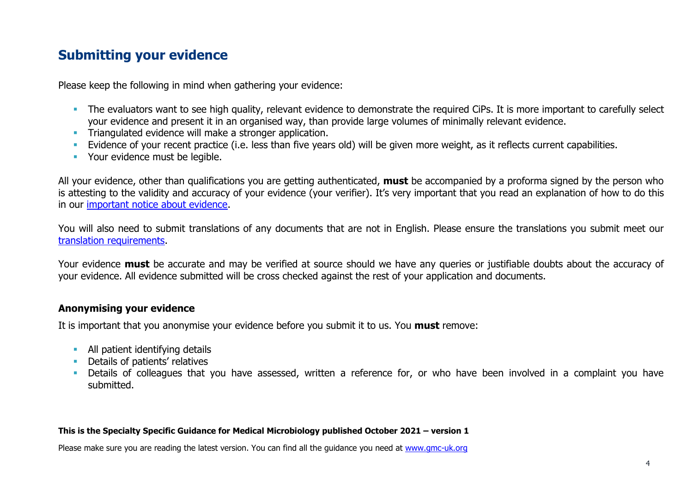# **Submitting your evidence**

Please keep the following in mind when gathering your evidence:

- **•** The evaluators want to see high quality, relevant evidence to demonstrate the required CiPs. It is more important to carefully select your evidence and present it in an organised way, than provide large volumes of minimally relevant evidence.
- **EXECT** Triangulated evidence will make a stronger application.
- **Example 10** Evidence of your recent practice (i.e. less than five years old) will be given more weight, as it reflects current capabilities.
- Your evidence must be legible.

All your evidence, other than qualifications you are getting authenticated, **must** be accompanied by a proforma signed by the person who is attesting to the validity and accuracy of your evidence (your verifier). It's very important that you read an explanation of how to do this in our [important notice about evidence.](http://www.gmc-uk.org/doctors/evidence_notice.asp)

You will also need to submit translations of any documents that are not in English. Please ensure the translations you submit meet our [translation requirements.](http://www.gmc-uk.org/doctors/translations.asp)

Your evidence **must** be accurate and may be verified at source should we have any queries or justifiable doubts about the accuracy of your evidence. All evidence submitted will be cross checked against the rest of your application and documents.

### **Anonymising your evidence**

It is important that you anonymise your evidence before you submit it to us. You **must** remove:

- **E** All patient identifying details
- **•** Details of patients' relatives
- **•** Details of colleagues that you have assessed, written a reference for, or who have been involved in a complaint you have submitted.

### **This is the Specialty Specific Guidance for Medical Microbiology published October 2021 – version 1**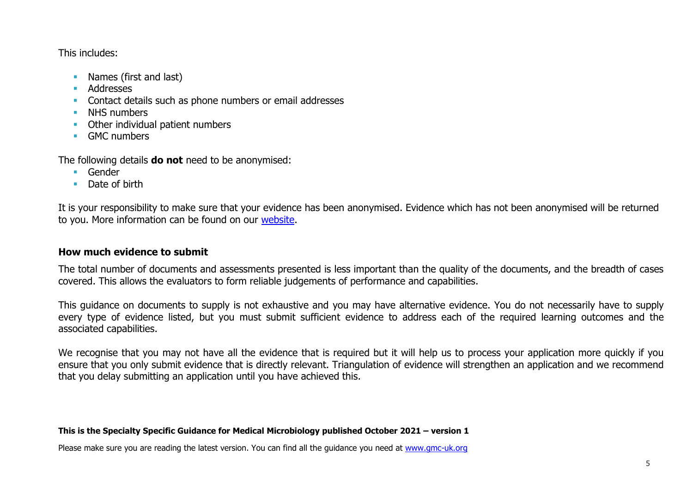This includes:

- Names (first and last)
- Addresses
- Contact details such as phone numbers or email addresses
- **■** NHS numbers
- Other individual patient numbers
- GMC numbers

The following details **do not** need to be anonymised:

- Gender
- Date of birth

It is your responsibility to make sure that your evidence has been anonymised. Evidence which has not been anonymised will be returned to you. More information can be found on our [website.](https://www.gmc-uk.org/registration-and-licensing/join-the-register/registration-applications/cesr-cegpr-application-process/anonymisation)

### **How much evidence to submit**

The total number of documents and assessments presented is less important than the quality of the documents, and the breadth of cases covered. This allows the evaluators to form reliable judgements of performance and capabilities.

This guidance on documents to supply is not exhaustive and you may have alternative evidence. You do not necessarily have to supply every type of evidence listed, but you must submit sufficient evidence to address each of the required learning outcomes and the associated capabilities.

We recognise that you may not have all the evidence that is required but it will help us to process your application more quickly if you ensure that you only submit evidence that is directly relevant. Triangulation of evidence will strengthen an application and we recommend that you delay submitting an application until you have achieved this.

### **This is the Specialty Specific Guidance for Medical Microbiology published October 2021 – version 1**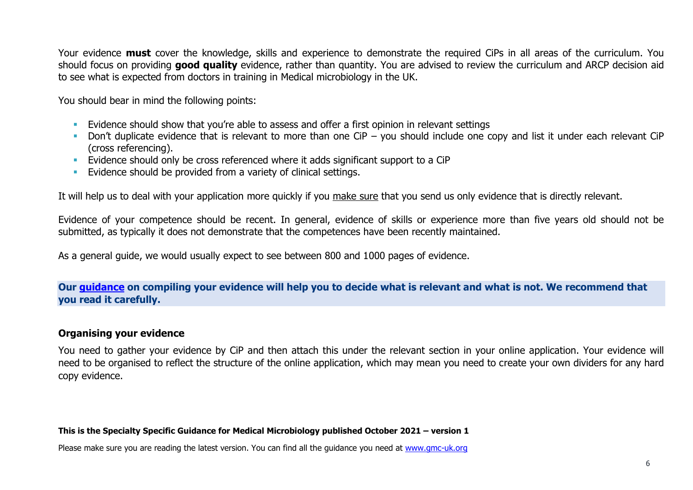Your evidence **must** cover the knowledge, skills and experience to demonstrate the required CiPs in all areas of the curriculum. You should focus on providing **good quality** evidence, rather than quantity. You are advised to review the curriculum and ARCP decision aid to see what is expected from doctors in training in Medical microbiology in the UK.

You should bear in mind the following points:

- **Evidence should show that you're able to assess and offer a first opinion in relevant settings**
- **•** Don't duplicate evidence that is relevant to more than one CiP you should include one copy and list it under each relevant CiP (cross referencing).
- **Evidence should only be cross referenced where it adds significant support to a CiP**
- **Evidence should be provided from a variety of clinical settings.**

It will help us to deal with your application more quickly if you make sure that you send us only evidence that is directly relevant.

Evidence of your competence should be recent. In general, evidence of skills or experience more than five years old should not be submitted, as typically it does not demonstrate that the competences have been recently maintained.

As a general guide, we would usually expect to see between 800 and 1000 pages of evidence.

### **Our [guidance](https://www.gmc-uk.org/-/media/documents/sat---cesr-cegpr-online-application---user-guide---dc11550_pdf-76194730.pdf) on compiling your evidence will help you to decide what is relevant and what is not. We recommend that you read it carefully.**

### **Organising your evidence**

You need to gather your evidence by CiP and then attach this under the relevant section in your online application. Your evidence will need to be organised to reflect the structure of the online application, which may mean you need to create your own dividers for any hard copy evidence.

### **This is the Specialty Specific Guidance for Medical Microbiology published October 2021 – version 1**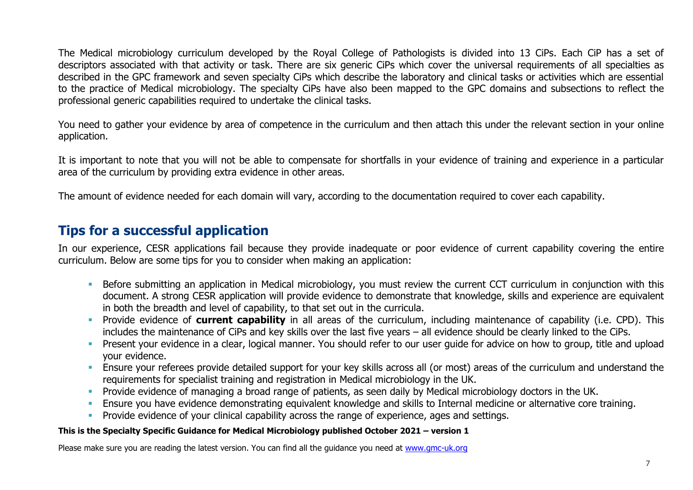The Medical microbiology curriculum developed by the Royal College of Pathologists is divided into 13 CiPs. Each CiP has a set of descriptors associated with that activity or task. There are six generic CiPs which cover the universal requirements of all specialties as described in the GPC framework and seven specialty CiPs which describe the laboratory and clinical tasks or activities which are essential to the practice of Medical microbiology. The specialty CiPs have also been mapped to the GPC domains and subsections to reflect the professional generic capabilities required to undertake the clinical tasks.

You need to gather your evidence by area of competence in the curriculum and then attach this under the relevant section in your online application.

It is important to note that you will not be able to compensate for shortfalls in your evidence of training and experience in a particular area of the curriculum by providing extra evidence in other areas.

The amount of evidence needed for each domain will vary, according to the documentation required to cover each capability.

# **Tips for a successful application**

In our experience, CESR applications fail because they provide inadequate or poor evidence of current capability covering the entire curriculum. Below are some tips for you to consider when making an application:

- **EXPEDENT IN A** Before submitting an application in Medical microbiology, you must review the current CCT curriculum in conjunction with this document. A strong CESR application will provide evidence to demonstrate that knowledge, skills and experience are equivalent in both the breadth and level of capability, to that set out in the curricula.
- Provide evidence of **current capability** in all areas of the curriculum, including maintenance of capability (i.e. CPD). This includes the maintenance of CiPs and key skills over the last five years – all evidence should be clearly linked to the CiPs.
- **•** Present your evidence in a clear, logical manner. You should refer to our user guide for advice on how to group, title and upload your evidence.
- **Ensure your referees provide detailed support for your key skills across all (or most) areas of the curriculum and understand the** requirements for specialist training and registration in Medical microbiology in the UK.
- **•** Provide evidence of managing a broad range of patients, as seen daily by Medical microbiology doctors in the UK.
- **Ensure you have evidence demonstrating equivalent knowledge and skills to Internal medicine or alternative core training.**
- **•** Provide evidence of your clinical capability across the range of experience, ages and settings.

### **This is the Specialty Specific Guidance for Medical Microbiology published October 2021 – version 1**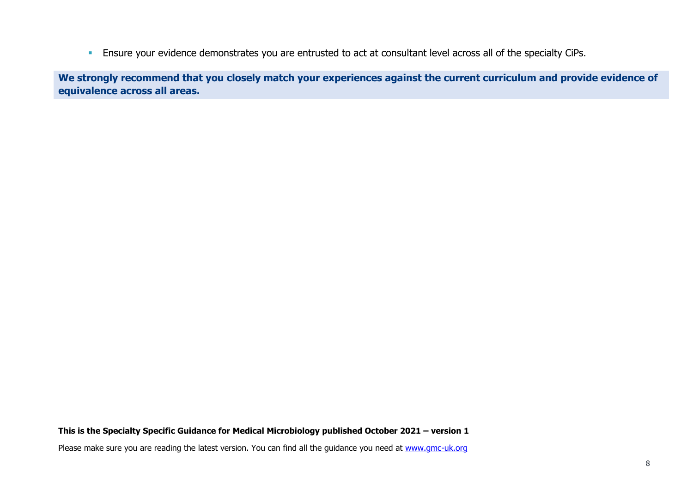**Ensure your evidence demonstrates you are entrusted to act at consultant level across all of the specialty CiPs.** 

**We strongly recommend that you closely match your experiences against the current curriculum and provide evidence of equivalence across all areas.** 

### **This is the Specialty Specific Guidance for Medical Microbiology published October 2021 – version 1**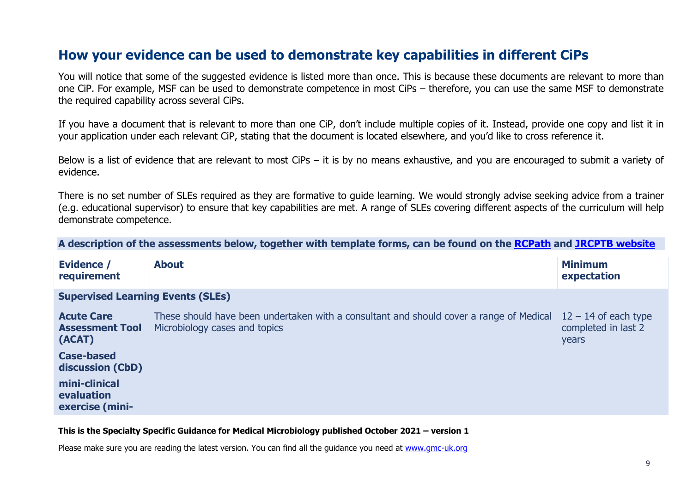# **How your evidence can be used to demonstrate key capabilities in different CiPs**

You will notice that some of the suggested evidence is listed more than once. This is because these documents are relevant to more than one CiP. For example, MSF can be used to demonstrate competence in most CiPs – therefore, you can use the same MSF to demonstrate the required capability across several CiPs.

If you have a document that is relevant to more than one CiP, don't include multiple copies of it. Instead, provide one copy and list it in your application under each relevant CiP, stating that the document is located elsewhere, and you'd like to cross reference it.

Below is a list of evidence that are relevant to most CiPs – it is by no means exhaustive, and you are encouraged to submit a variety of evidence.

There is no set number of SLEs required as they are formative to guide learning. We would strongly advise seeking advice from a trainer (e.g. educational supervisor) to ensure that key capabilities are met. A range of SLEs covering different aspects of the curriculum will help demonstrate competence.

**A description of the assessments below, together with template forms, can be found on the [RCPath](https://www.rcpath.org/trainees/assessment/workplace-based-assessment-wpba/medical-microbiology.html) and [JRCPTB website](https://www.jrcptb.org.uk/assessment/workplace-based-assessment)**

| Evidence /<br>requirement                             | <b>About</b>                                                                                                             | <b>Minimum</b><br>expectation                          |
|-------------------------------------------------------|--------------------------------------------------------------------------------------------------------------------------|--------------------------------------------------------|
| <b>Supervised Learning Events (SLEs)</b>              |                                                                                                                          |                                                        |
| <b>Acute Care</b><br><b>Assessment Tool</b><br>(ACAT) | These should have been undertaken with a consultant and should cover a range of Medical<br>Microbiology cases and topics | $12 - 14$ of each type<br>completed in last 2<br>years |
| <b>Case-based</b><br>discussion (CbD)                 |                                                                                                                          |                                                        |
| mini-clinical<br>evaluation<br>exercise (mini-        |                                                                                                                          |                                                        |

#### **This is the Specialty Specific Guidance for Medical Microbiology published October 2021 – version 1**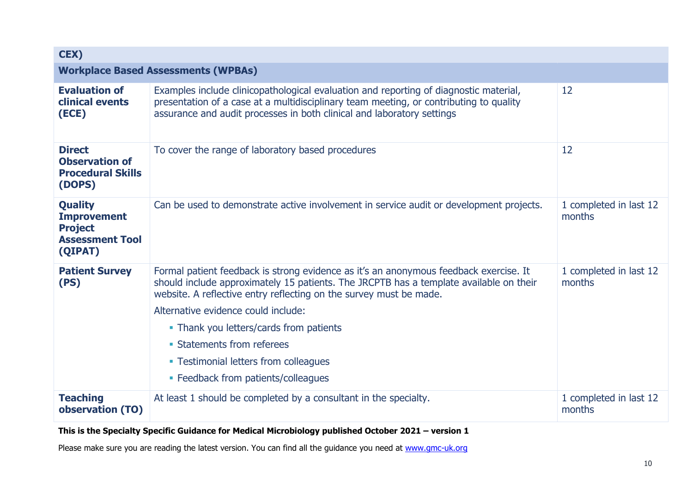| CEX)                                                                                        |                                                                                                                                                                                                                                                                                                                                                                                                                                                       |                                  |  |
|---------------------------------------------------------------------------------------------|-------------------------------------------------------------------------------------------------------------------------------------------------------------------------------------------------------------------------------------------------------------------------------------------------------------------------------------------------------------------------------------------------------------------------------------------------------|----------------------------------|--|
|                                                                                             | <b>Workplace Based Assessments (WPBAs)</b>                                                                                                                                                                                                                                                                                                                                                                                                            |                                  |  |
| <b>Evaluation of</b><br>clinical events<br>(ECE)                                            | Examples include clinicopathological evaluation and reporting of diagnostic material,<br>presentation of a case at a multidisciplinary team meeting, or contributing to quality<br>assurance and audit processes in both clinical and laboratory settings                                                                                                                                                                                             | 12                               |  |
| <b>Direct</b><br><b>Observation of</b><br><b>Procedural Skills</b><br>(DOPS)                | To cover the range of laboratory based procedures                                                                                                                                                                                                                                                                                                                                                                                                     | 12                               |  |
| <b>Quality</b><br><b>Improvement</b><br><b>Project</b><br><b>Assessment Tool</b><br>(QIPAT) | Can be used to demonstrate active involvement in service audit or development projects.                                                                                                                                                                                                                                                                                                                                                               | 1 completed in last 12<br>months |  |
| <b>Patient Survey</b><br>(PS)                                                               | Formal patient feedback is strong evidence as it's an anonymous feedback exercise. It<br>should include approximately 15 patients. The JRCPTB has a template available on their<br>website. A reflective entry reflecting on the survey must be made.<br>Alternative evidence could include:<br>• Thank you letters/cards from patients<br>• Statements from referees<br>• Testimonial letters from colleagues<br>• Feedback from patients/colleagues | 1 completed in last 12<br>months |  |
| <b>Teaching</b><br>observation (TO)                                                         | At least 1 should be completed by a consultant in the specialty.                                                                                                                                                                                                                                                                                                                                                                                      | 1 completed in last 12<br>months |  |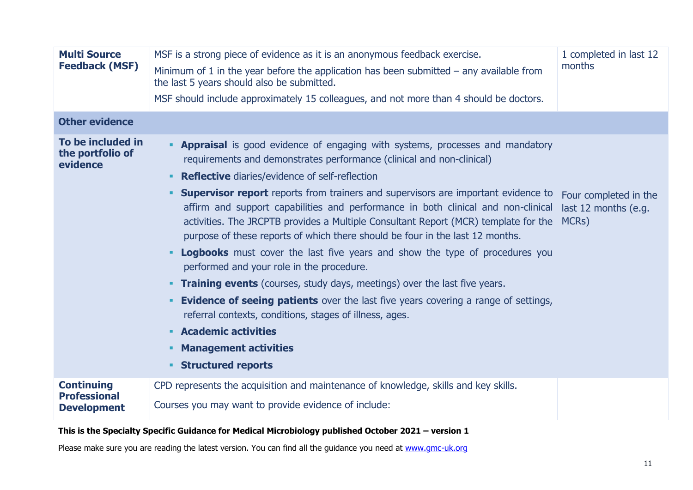| <b>Multi Source</b><br><b>Feedback (MSF)</b>                   | MSF is a strong piece of evidence as it is an anonymous feedback exercise.<br>1 completed in last 12<br>months<br>Minimum of 1 in the year before the application has been submitted $-$ any available from<br>the last 5 years should also be submitted.<br>MSF should include approximately 15 colleagues, and not more than 4 should be doctors.                                                                                                                                                                                                                                                                                                                                                                                                                                                                                                                                                                                                                                                                                                                                |                                                        |
|----------------------------------------------------------------|------------------------------------------------------------------------------------------------------------------------------------------------------------------------------------------------------------------------------------------------------------------------------------------------------------------------------------------------------------------------------------------------------------------------------------------------------------------------------------------------------------------------------------------------------------------------------------------------------------------------------------------------------------------------------------------------------------------------------------------------------------------------------------------------------------------------------------------------------------------------------------------------------------------------------------------------------------------------------------------------------------------------------------------------------------------------------------|--------------------------------------------------------|
| <b>Other evidence</b>                                          |                                                                                                                                                                                                                                                                                                                                                                                                                                                                                                                                                                                                                                                                                                                                                                                                                                                                                                                                                                                                                                                                                    |                                                        |
| To be included in<br>the portfolio of<br>evidence              | <b>- Appraisal</b> is good evidence of engaging with systems, processes and mandatory<br>requirements and demonstrates performance (clinical and non-clinical)<br><b>Reflective</b> diaries/evidence of self-reflection<br>٠<br><b>Supervisor report</b> reports from trainers and supervisors are important evidence to<br>٠<br>affirm and support capabilities and performance in both clinical and non-clinical<br>activities. The JRCPTB provides a Multiple Consultant Report (MCR) template for the<br>purpose of these reports of which there should be four in the last 12 months.<br>Logbooks must cover the last five years and show the type of procedures you<br>٠<br>performed and your role in the procedure.<br><b>Training events</b> (courses, study days, meetings) over the last five years.<br><b>Evidence of seeing patients</b> over the last five years covering a range of settings,<br>٠<br>referral contexts, conditions, stages of illness, ages.<br><b>Academic activities</b><br>۰.<br><b>Management activities</b><br>٠<br><b>Structured reports</b> | Four completed in the<br>last 12 months (e.g.<br>MCRs) |
| <b>Continuing</b><br><b>Professional</b><br><b>Development</b> | CPD represents the acquisition and maintenance of knowledge, skills and key skills.<br>Courses you may want to provide evidence of include:                                                                                                                                                                                                                                                                                                                                                                                                                                                                                                                                                                                                                                                                                                                                                                                                                                                                                                                                        |                                                        |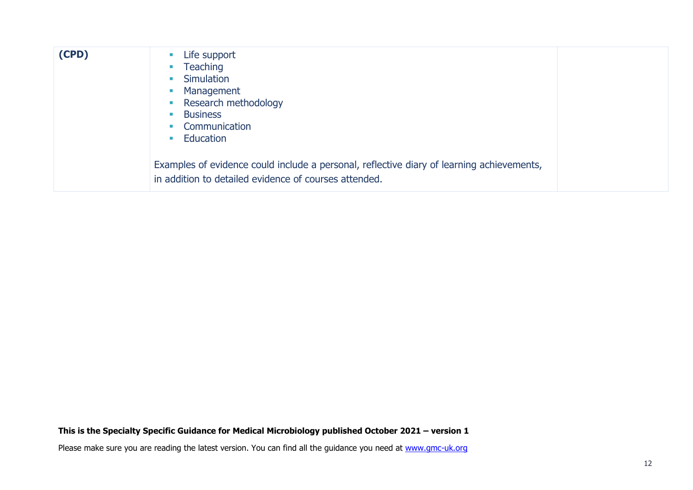| (CPD) | Life support<br>$\mathcal{L}_{\mathcal{A}}$<br>Teaching<br>$\mathcal{L}_{\mathcal{A}}$<br>Simulation<br>$\mathcal{L}_{\mathcal{A}}$<br>Management<br><b>CONTRACTOR</b><br>• Research methodology<br><b>Business</b><br>$\mathcal{L}_{\mathcal{A}}$<br>Communication<br>$\mathcal{L}_{\rm{max}}$<br>Education<br><b>Contract</b> |  |
|-------|---------------------------------------------------------------------------------------------------------------------------------------------------------------------------------------------------------------------------------------------------------------------------------------------------------------------------------|--|
|       | Examples of evidence could include a personal, reflective diary of learning achievements,<br>in addition to detailed evidence of courses attended.                                                                                                                                                                              |  |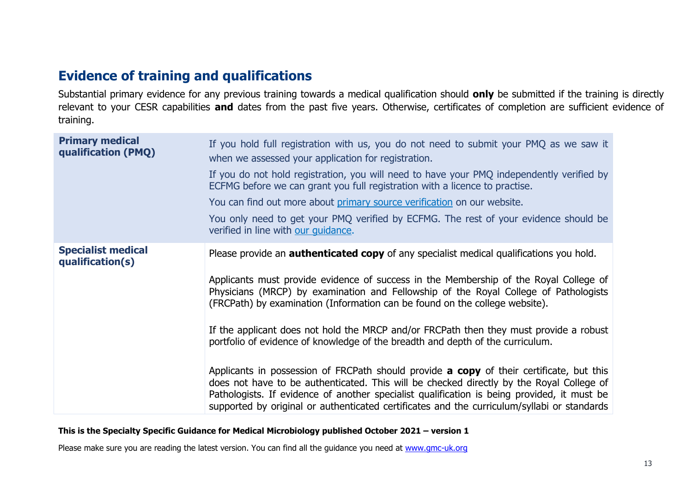# **Evidence of training and qualifications**

Substantial primary evidence for any previous training towards a medical qualification should **only** be submitted if the training is directly relevant to your CESR capabilities **and** dates from the past five years. Otherwise, certificates of completion are sufficient evidence of training.

| <b>Primary medical</b><br>qualification (PMQ) | If you hold full registration with us, you do not need to submit your PMQ as we saw it<br>when we assessed your application for registration.                                                                                                                                                                                                                                             |
|-----------------------------------------------|-------------------------------------------------------------------------------------------------------------------------------------------------------------------------------------------------------------------------------------------------------------------------------------------------------------------------------------------------------------------------------------------|
|                                               | If you do not hold registration, you will need to have your PMQ independently verified by<br>ECFMG before we can grant you full registration with a licence to practise.                                                                                                                                                                                                                  |
|                                               | You can find out more about primary source verification on our website.                                                                                                                                                                                                                                                                                                                   |
|                                               | You only need to get your PMQ verified by ECFMG. The rest of your evidence should be<br>verified in line with our guidance.                                                                                                                                                                                                                                                               |
| <b>Specialist medical</b><br>qualification(s) | Please provide an <b>authenticated copy</b> of any specialist medical qualifications you hold.                                                                                                                                                                                                                                                                                            |
|                                               | Applicants must provide evidence of success in the Membership of the Royal College of<br>Physicians (MRCP) by examination and Fellowship of the Royal College of Pathologists<br>(FRCPath) by examination (Information can be found on the college website).                                                                                                                              |
|                                               | If the applicant does not hold the MRCP and/or FRCPath then they must provide a robust<br>portfolio of evidence of knowledge of the breadth and depth of the curriculum.                                                                                                                                                                                                                  |
|                                               | Applicants in possession of FRCPath should provide <b>a copy</b> of their certificate, but this<br>does not have to be authenticated. This will be checked directly by the Royal College of<br>Pathologists. If evidence of another specialist qualification is being provided, it must be<br>supported by original or authenticated certificates and the curriculum/syllabi or standards |

#### **This is the Specialty Specific Guidance for Medical Microbiology published October 2021 – version 1**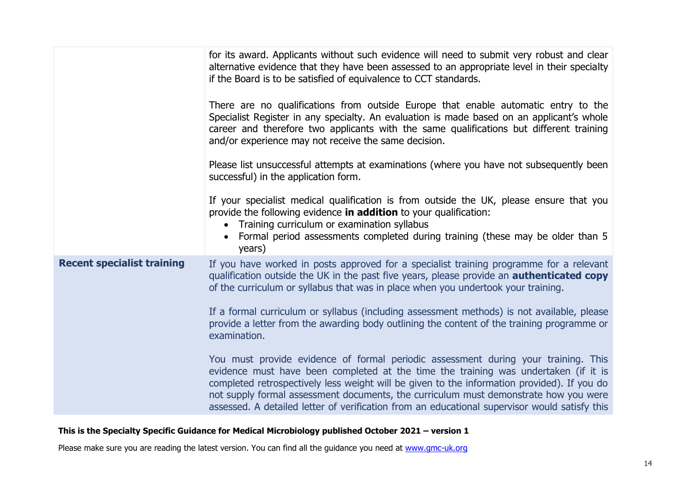|                                   | for its award. Applicants without such evidence will need to submit very robust and clear<br>alternative evidence that they have been assessed to an appropriate level in their specialty<br>if the Board is to be satisfied of equivalence to CCT standards.                                                                                                                                                                                                     |
|-----------------------------------|-------------------------------------------------------------------------------------------------------------------------------------------------------------------------------------------------------------------------------------------------------------------------------------------------------------------------------------------------------------------------------------------------------------------------------------------------------------------|
|                                   | There are no qualifications from outside Europe that enable automatic entry to the<br>Specialist Register in any specialty. An evaluation is made based on an applicant's whole<br>career and therefore two applicants with the same qualifications but different training<br>and/or experience may not receive the same decision.                                                                                                                                |
|                                   | Please list unsuccessful attempts at examinations (where you have not subsequently been<br>successful) in the application form.                                                                                                                                                                                                                                                                                                                                   |
|                                   | If your specialist medical qualification is from outside the UK, please ensure that you<br>provide the following evidence in addition to your qualification:<br>Training curriculum or examination syllabus<br>Formal period assessments completed during training (these may be older than 5<br>years)                                                                                                                                                           |
| <b>Recent specialist training</b> | If you have worked in posts approved for a specialist training programme for a relevant<br>qualification outside the UK in the past five years, please provide an <b>authenticated copy</b><br>of the curriculum or syllabus that was in place when you undertook your training.                                                                                                                                                                                  |
|                                   | If a formal curriculum or syllabus (including assessment methods) is not available, please<br>provide a letter from the awarding body outlining the content of the training programme or<br>examination.                                                                                                                                                                                                                                                          |
|                                   | You must provide evidence of formal periodic assessment during your training. This<br>evidence must have been completed at the time the training was undertaken (if it is<br>completed retrospectively less weight will be given to the information provided). If you do<br>not supply formal assessment documents, the curriculum must demonstrate how you were<br>assessed. A detailed letter of verification from an educational supervisor would satisfy this |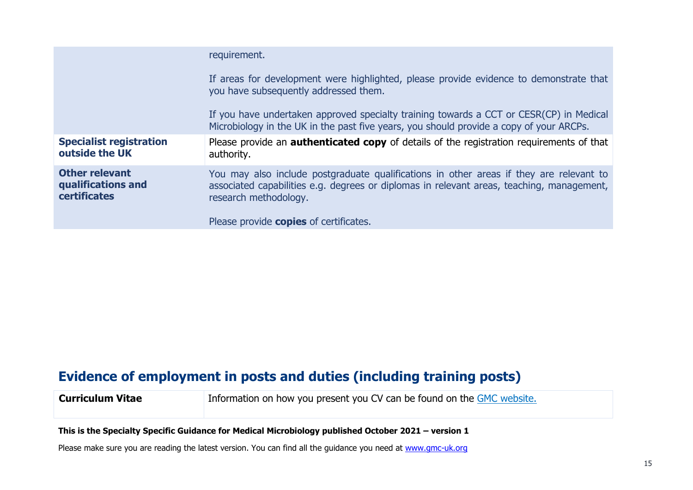|                                                                    | requirement.                                                                                                                                                                                                  |
|--------------------------------------------------------------------|---------------------------------------------------------------------------------------------------------------------------------------------------------------------------------------------------------------|
|                                                                    | If areas for development were highlighted, please provide evidence to demonstrate that<br>you have subsequently addressed them.                                                                               |
|                                                                    | If you have undertaken approved specialty training towards a CCT or CESR(CP) in Medical<br>Microbiology in the UK in the past five years, you should provide a copy of your ARCPs.                            |
| <b>Specialist registration</b><br>outside the UK                   | Please provide an <b>authenticated copy</b> of details of the registration requirements of that<br>authority.                                                                                                 |
| <b>Other relevant</b><br>qualifications and<br><b>certificates</b> | You may also include postgraduate qualifications in other areas if they are relevant to<br>associated capabilities e.g. degrees or diplomas in relevant areas, teaching, management,<br>research methodology. |
|                                                                    | Please provide <b>copies</b> of certificates.                                                                                                                                                                 |

# **Evidence of employment in posts and duties (including training posts)**

**Curriculum Vitae** Information on how you present you CV can be found on the [GMC website.](https://www.gmc-uk.org/registration-and-licensing/join-the-register/registration-applications/specialist-application-guides/specialist-registration-cesr-or-cegpr/how-do-i-structure-my-cv)

**This is the Specialty Specific Guidance for Medical Microbiology published October 2021 – version 1**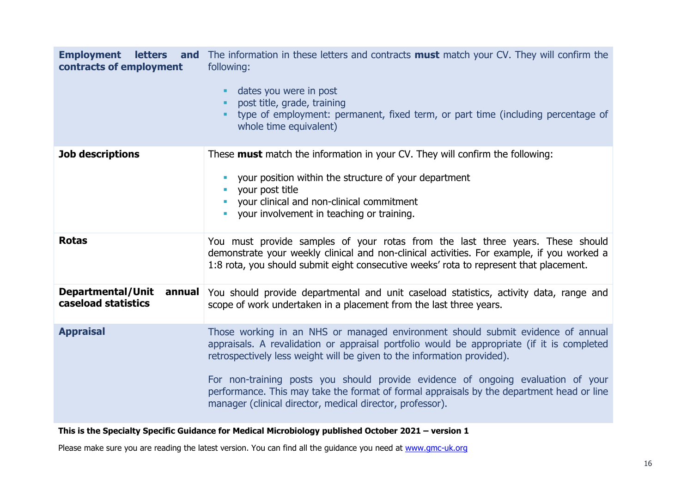| <b>Employment</b><br>contracts of employment       | <b>letters</b> and The information in these letters and contracts must match your CV. They will confirm the<br>following:<br>dates you were in post<br>post title, grade, training<br>type of employment: permanent, fixed term, or part time (including percentage of<br>whole time equivalent)                                                                                                                                                                                                       |
|----------------------------------------------------|--------------------------------------------------------------------------------------------------------------------------------------------------------------------------------------------------------------------------------------------------------------------------------------------------------------------------------------------------------------------------------------------------------------------------------------------------------------------------------------------------------|
| <b>Job descriptions</b>                            | These <b>must</b> match the information in your CV. They will confirm the following:<br>your position within the structure of your department<br>your post title<br>your clinical and non-clinical commitment<br>your involvement in teaching or training.                                                                                                                                                                                                                                             |
| <b>Rotas</b>                                       | You must provide samples of your rotas from the last three years. These should<br>demonstrate your weekly clinical and non-clinical activities. For example, if you worked a<br>1:8 rota, you should submit eight consecutive weeks' rota to represent that placement.                                                                                                                                                                                                                                 |
| Departmental/Unit<br>annual<br>caseload statistics | You should provide departmental and unit caseload statistics, activity data, range and<br>scope of work undertaken in a placement from the last three years.                                                                                                                                                                                                                                                                                                                                           |
| <b>Appraisal</b>                                   | Those working in an NHS or managed environment should submit evidence of annual<br>appraisals. A revalidation or appraisal portfolio would be appropriate (if it is completed<br>retrospectively less weight will be given to the information provided).<br>For non-training posts you should provide evidence of ongoing evaluation of your<br>performance. This may take the format of formal appraisals by the department head or line<br>manager (clinical director, medical director, professor). |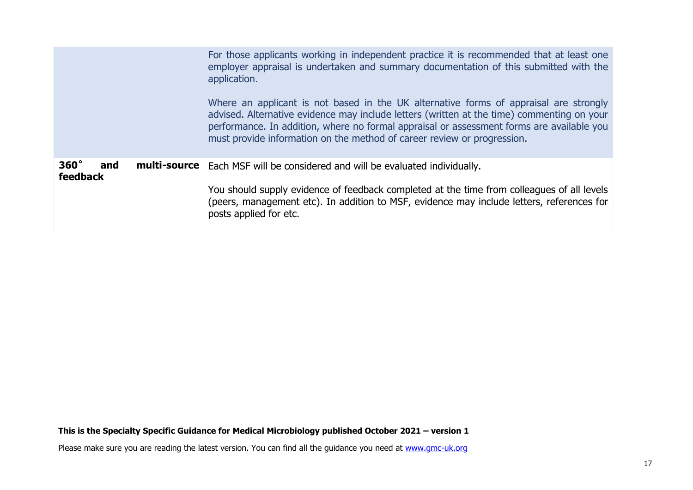|                                       | For those applicants working in independent practice it is recommended that at least one<br>employer appraisal is undertaken and summary documentation of this submitted with the<br>application.<br>Where an applicant is not based in the UK alternative forms of appraisal are strongly<br>advised. Alternative evidence may include letters (written at the time) commenting on your<br>performance. In addition, where no formal appraisal or assessment forms are available you<br>must provide information on the method of career review or progression. |
|---------------------------------------|------------------------------------------------------------------------------------------------------------------------------------------------------------------------------------------------------------------------------------------------------------------------------------------------------------------------------------------------------------------------------------------------------------------------------------------------------------------------------------------------------------------------------------------------------------------|
| $360^\circ$<br>and<br><b>feedback</b> | <b>multi-source</b>   Each MSF will be considered and will be evaluated individually.<br>You should supply evidence of feedback completed at the time from colleagues of all levels<br>(peers, management etc). In addition to MSF, evidence may include letters, references for<br>posts applied for etc.                                                                                                                                                                                                                                                       |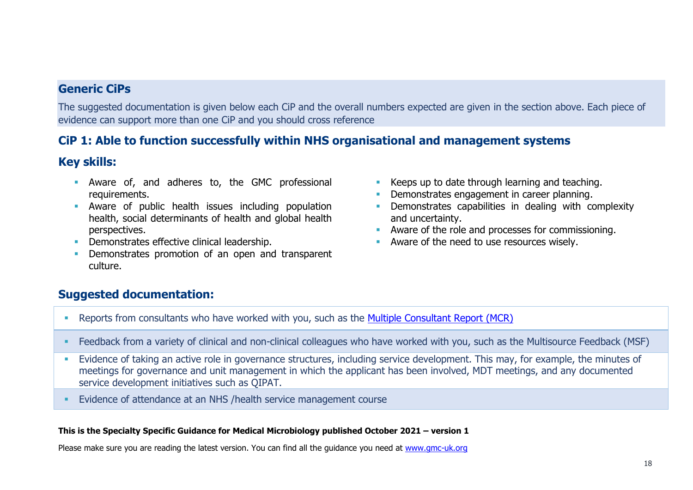# **Generic CiPs**

The suggested documentation is given below each CiP and the overall numbers expected are given in the section above. Each piece of evidence can support more than one CiP and you should cross reference

# **CiP 1: Able to function successfully within NHS organisational and management systems**

# **Key skills:**

- **E** Aware of, and adheres to, the GMC professional requirements.
- **E** Aware of public health issues including population health, social determinants of health and global health perspectives.
- **Demonstrates effective clinical leadership.**
- Demonstrates promotion of an open and transparent culture.
- Keeps up to date through learning and teaching.
- **Demonstrates engagement in career planning.**
- **•** Demonstrates capabilities in dealing with complexity and uncertainty.
- **Aware of the role and processes for commissioning.**
- Aware of the need to use resources wisely.

# **Suggested documentation:**

- Reports from consultants who have worked with you, such as the [Multiple Consultant Report \(MCR\)](https://www.jrcptb.org.uk/assessment/workplace-based-assessment)
- Feedback from a variety of clinical and non-clinical colleagues who have worked with you, such as the Multisource Feedback (MSF)
- **Evidence of taking an active role in governance structures, including service development. This may, for example, the minutes of** meetings for governance and unit management in which the applicant has been involved, MDT meetings, and any documented service development initiatives such as QIPAT.
- Evidence of attendance at an NHS /health service management course

### **This is the Specialty Specific Guidance for Medical Microbiology published October 2021 – version 1**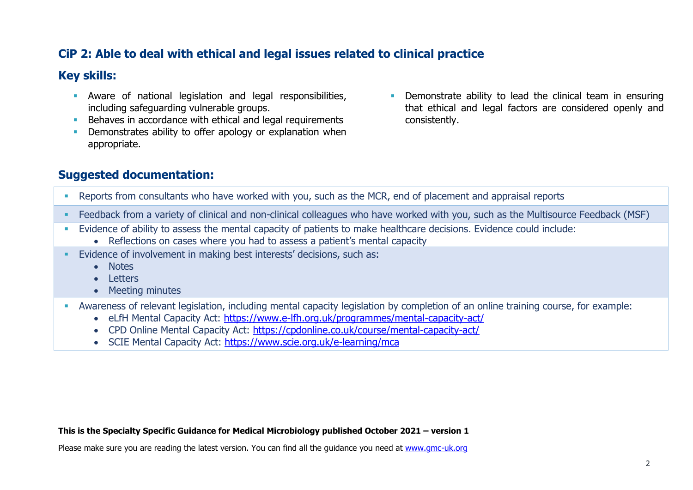# **CiP 2: Able to deal with ethical and legal issues related to clinical practice**

### **Key skills:**

- **EXECT** Aware of national legislation and legal responsibilities, including safeguarding vulnerable groups.
- **EXECTE A** Behaves in accordance with ethical and legal requirements
- **•** Demonstrates ability to offer apology or explanation when appropriate.
- Demonstrate ability to lead the clinical team in ensuring that ethical and legal factors are considered openly and consistently.

# **Suggested documentation:**

- Reports from consultants who have worked with you, such as the MCR, end of placement and appraisal reports
- Feedback from a variety of clinical and non-clinical colleagues who have worked with you, such as the Multisource Feedback (MSF)
- Evidence of ability to assess the mental capacity of patients to make healthcare decisions. Evidence could include:
	- Reflections on cases where you had to assess a patient's mental capacity
- Evidence of involvement in making best interests' decisions, such as:
	- Notes
	- Letters
	- Meeting minutes
- Awareness of relevant legislation, including mental capacity legislation by completion of an online training course, for example:
	- eLfH Mental Capacity Act:<https://www.e-lfh.org.uk/programmes/mental-capacity-act/>
	- CPD Online Mental Capacity Act: <https://cpdonline.co.uk/course/mental-capacity-act/>
	- SCIE Mental Capacity Act:<https://www.scie.org.uk/e-learning/mca>

#### **This is the Specialty Specific Guidance for Medical Microbiology published October 2021 – version 1**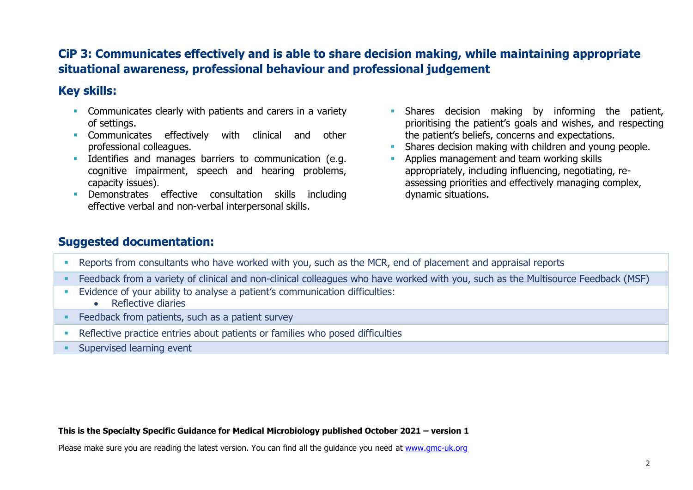# **CiP 3: Communicates effectively and is able to share decision making, while maintaining appropriate situational awareness, professional behaviour and professional judgement**

# **Key skills:**

- **EXECOMMUNICATELY COMMUNICATES** clearly with patients and carers in a variety of settings.
- **EXECOMMUNICATES** effectively with clinical and other professional colleagues.
- **EXECUTE:** Identifies and manages barriers to communication (e.g. cognitive impairment, speech and hearing problems, capacity issues).
- Demonstrates effective consultation skills including effective verbal and non-verbal interpersonal skills.
- **·** Shares decision making by informing the patient, prioritising the patient's goals and wishes, and respecting the patient's beliefs, concerns and expectations.
- Shares decision making with children and young people.
- **EXECUTE:** Applies management and team working skills appropriately, including influencing, negotiating, reassessing priorities and effectively managing complex, dynamic situations.

# **Suggested documentation:**

- Reports from consultants who have worked with you, such as the MCR, end of placement and appraisal reports
- Feedback from a variety of clinical and non-clinical colleagues who have worked with you, such as the Multisource Feedback (MSF)
- **Evidence of your ability to analyse a patient's communication difficulties:** 
	- Reflective diaries
- **EXECO FEEDBACK from patients, such as a patient survey**
- **EXECTE ENTERITY ENDIREY In A SET LA FIGURE 1** Reflective practice entries about patients or families who posed difficulties
- **Exercised learning event**

### **This is the Specialty Specific Guidance for Medical Microbiology published October 2021 – version 1**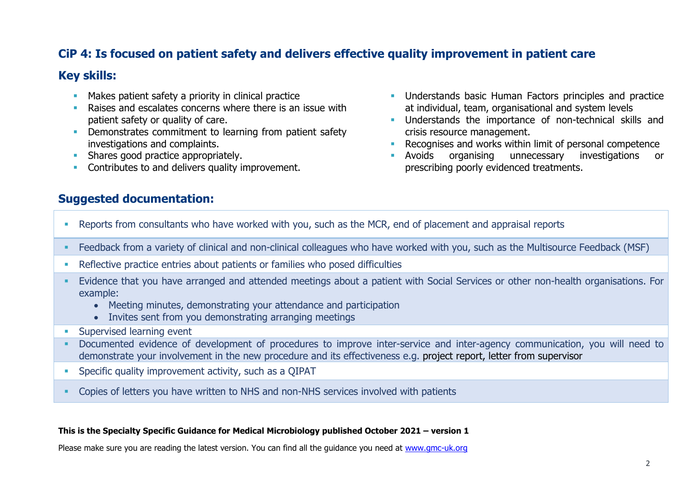# **CiP 4: Is focused on patient safety and delivers effective quality improvement in patient care**

### **Key skills:**

- **■** Makes patient safety a priority in clinical practice
- Raises and escalates concerns where there is an issue with patient safety or quality of care.
- **Demonstrates commitment to learning from patient safety** investigations and complaints.
- **EXECUTE:** Shares good practice appropriately.
- **Contributes to and delivers quality improvement.**
- **Understands basic Human Factors principles and practice** at individual, team, organisational and system levels
- **■** Understands the importance of non-technical skills and crisis resource management.
- Recognises and works within limit of personal competence
- Avoids organising unnecessary investigations or prescribing poorly evidenced treatments.

### **Suggested documentation:**

- Reports from consultants who have worked with you, such as the MCR, end of placement and appraisal reports
- Feedback from a variety of clinical and non-clinical colleagues who have worked with you, such as the Multisource Feedback (MSF)
- Reflective practice entries about patients or families who posed difficulties
- Evidence that you have arranged and attended meetings about a patient with Social Services or other non-health organisations. For example:
	- Meeting minutes, demonstrating your attendance and participation
	- Invites sent from you demonstrating arranging meetings
- **E** Supervised learning event
- Documented evidence of development of procedures to improve inter-service and inter-agency communication, you will need to demonstrate your involvement in the new procedure and its effectiveness e.g. project report, letter from supervisor
- **•** Specific quality improvement activity, such as a QIPAT
- Copies of letters you have written to NHS and non-NHS services involved with patients

### **This is the Specialty Specific Guidance for Medical Microbiology published October 2021 – version 1**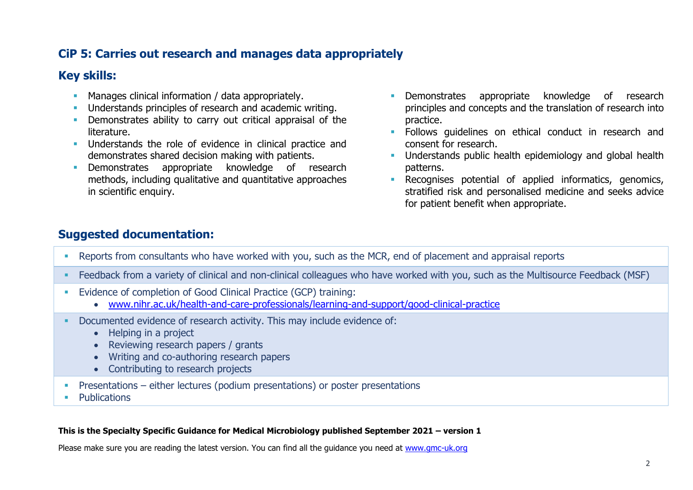# **CiP 5: Carries out research and manages data appropriately**

# **Key skills:**

- **EXECT** Manages clinical information / data appropriately.
- **Understands principles of research and academic writing.**
- **•** Demonstrates ability to carry out critical appraisal of the literature.
- **EXECUTE:** Understands the role of evidence in clinical practice and demonstrates shared decision making with patients.
- **EXECUTE:** Demonstrates appropriate knowledge of research methods, including qualitative and quantitative approaches in scientific enquiry.
- **EXECUTE:** Demonstrates appropriate knowledge of research principles and concepts and the translation of research into practice.
- **EXECT** Follows guidelines on ethical conduct in research and consent for research.
- **■** Understands public health epidemiology and global health patterns.
- **EXECOGNISES potential of applied informatics, genomics,** stratified risk and personalised medicine and seeks advice for patient benefit when appropriate.

# **Suggested documentation:**

- Reports from consultants who have worked with you, such as the MCR, end of placement and appraisal reports
- **EXECT ADDE FEEDBACK from a variety of clinical and non-clinical colleagues who have worked with you, such as the Multisource Feedback (MSF)**
- Evidence of completion of Good Clinical Practice (GCP) training:
	- [www.nihr.ac.uk/health-and-care-professionals/learning-and-support/good-clinical-practice](https://www.nihr.ac.uk/health-and-care-professionals/learning-and-support/good-clinical-practice.htm)
- Documented evidence of research activity. This may include evidence of:
	- Helping in a project
	- Reviewing research papers / grants
	- Writing and co-authoring research papers
	- Contributing to research projects
- **•** Presentations either lectures (podium presentations) or poster presentations
- **Publications**

### **This is the Specialty Specific Guidance for Medical Microbiology published September 2021 – version 1**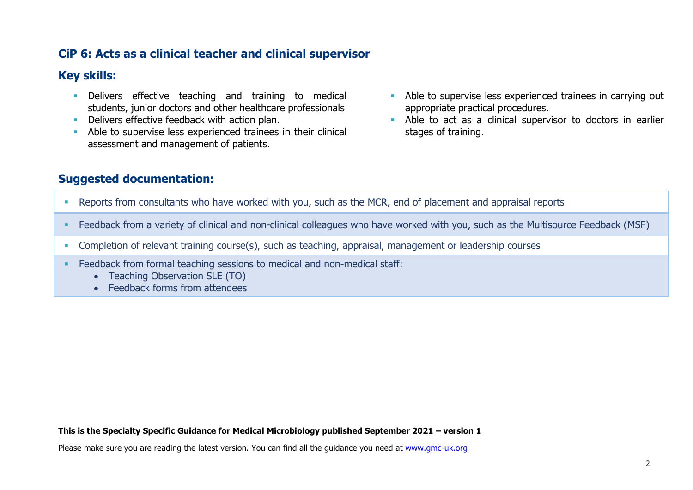# **CiP 6: Acts as a clinical teacher and clinical supervisor**

### **Key skills:**

- **EXECT** Delivers effective teaching and training to medical students, junior doctors and other healthcare professionals
- **Delivers effective feedback with action plan.**
- **EXECUTE:** Able to supervise less experienced trainees in their clinical assessment and management of patients.
- **EXECUTE:** Able to supervise less experienced trainees in carrying out appropriate practical procedures.
- **EXECT** Able to act as a clinical supervisor to doctors in earlier stages of training.

# **Suggested documentation:**

- Reports from consultants who have worked with you, such as the MCR, end of placement and appraisal reports
- Feedback from a variety of clinical and non-clinical colleagues who have worked with you, such as the Multisource Feedback (MSF)
- Completion of relevant training course(s), such as teaching, appraisal, management or leadership courses
- **Example 2** Feedback from formal teaching sessions to medical and non-medical staff:
	- Teaching Observation SLE (TO)
	- Feedback forms from attendees

#### **This is the Specialty Specific Guidance for Medical Microbiology published September 2021 – version 1**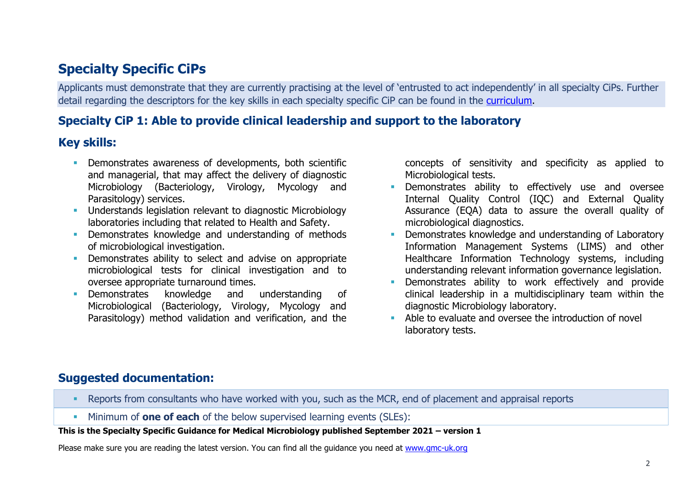# **Specialty Specific CiPs**

Applicants must demonstrate that they are currently practising at the level of 'entrusted to act independently' in all specialty CiPs. Further detail regarding the descriptors for the key skills in each specialty specific CiP can be found in the [curriculu](https://www.gmc-uk.org/education/standards-guidance-and-curricula/curricula/medical-microbiology-curriculum)m.

# **Specialty CiP 1: Able to provide clinical leadership and support to the laboratory**

# **Key skills:**

- **•** Demonstrates awareness of developments, both scientific and managerial, that may affect the delivery of diagnostic Microbiology (Bacteriology, Virology, Mycology and Parasitology) services.
- **EXECUTE:** Understands legislation relevant to diagnostic Microbiology laboratories including that related to Health and Safety.
- **•** Demonstrates knowledge and understanding of methods of microbiological investigation.
- **•** Demonstrates ability to select and advise on appropriate microbiological tests for clinical investigation and to oversee appropriate turnaround times.
- Demonstrates knowledge and understanding of Microbiological (Bacteriology, Virology, Mycology and Parasitology) method validation and verification, and the

concepts of sensitivity and specificity as applied to Microbiological tests.

- **EXECTE:** Demonstrates ability to effectively use and oversee Internal Quality Control (IQC) and External Quality Assurance (EQA) data to assure the overall quality of microbiological diagnostics.
- Demonstrates knowledge and understanding of Laboratory Information Management Systems (LIMS) and other Healthcare Information Technology systems, including understanding relevant information governance legislation.
- **E** Demonstrates ability to work effectively and provide clinical leadership in a multidisciplinary team within the diagnostic Microbiology laboratory.
- Able to evaluate and oversee the introduction of novel laboratory tests.

# **Suggested documentation:**

- Reports from consultants who have worked with you, such as the MCR, end of placement and appraisal reports
- Minimum of **one of each** of the below supervised learning events (SLEs):

### **This is the Specialty Specific Guidance for Medical Microbiology published September 2021 – version 1**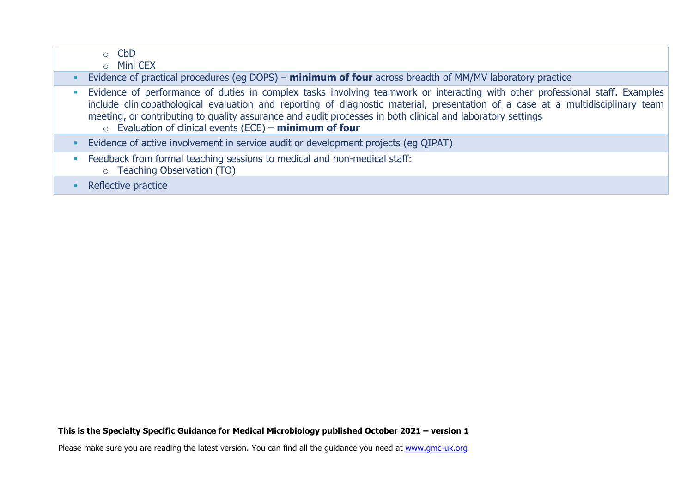|   | $\circ$ CbD<br><b>Mini CEX</b><br>$\Omega$                                                                                                                                                                                                                                                                     |
|---|----------------------------------------------------------------------------------------------------------------------------------------------------------------------------------------------------------------------------------------------------------------------------------------------------------------|
|   | Evidence of practical procedures (eg DOPS) – minimum of four across breadth of MM/MV laboratory practice<br>Evidence of performance of duties in complex tasks involving teamwork or interacting with other professional staff. Examples                                                                       |
|   | include clinicopathological evaluation and reporting of diagnostic material, presentation of a case at a multidisciplinary team<br>meeting, or contributing to quality assurance and audit processes in both clinical and laboratory settings<br>$\circ$ Evaluation of clinical events (ECE) - minimum of four |
|   | Evidence of active involvement in service audit or development projects (eg QIPAT)                                                                                                                                                                                                                             |
| D | Feedback from formal teaching sessions to medical and non-medical staff:<br>○ Teaching Observation (TO)                                                                                                                                                                                                        |
|   | Reflective practice                                                                                                                                                                                                                                                                                            |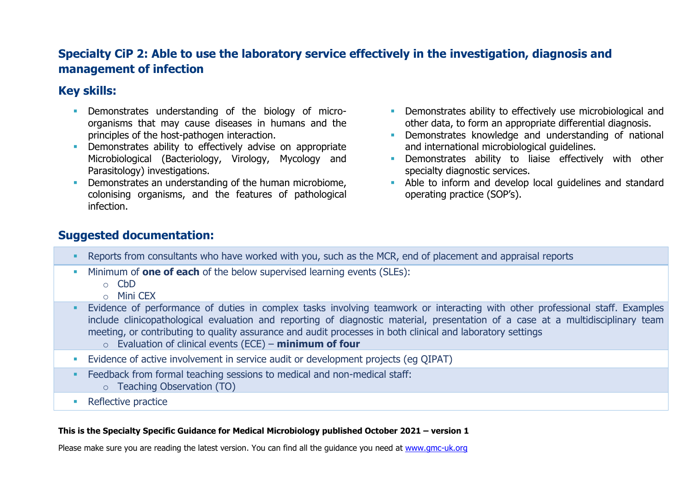# **Specialty CiP 2: Able to use the laboratory service effectively in the investigation, diagnosis and management of infection**

# **Key skills:**

- **EXECUTE:** Demonstrates understanding of the biology of microorganisms that may cause diseases in humans and the principles of the host-pathogen interaction.
- **•** Demonstrates ability to effectively advise on appropriate Microbiological (Bacteriology, Virology, Mycology and Parasitology) investigations.
- **•** Demonstrates an understanding of the human microbiome. colonising organisms, and the features of pathological infection.
- **EXECTE Demonstrates ability to effectively use microbiological and** other data, to form an appropriate differential diagnosis.
- **EXECUTE:** Demonstrates knowledge and understanding of national and international microbiological guidelines.
- **E** Demonstrates ability to liaise effectively with other specialty diagnostic services.
- Able to inform and develop local quidelines and standard operating practice (SOP's).

# **Suggested documentation:**

- Reports from consultants who have worked with you, such as the MCR, end of placement and appraisal reports
- Minimum of **one of each** of the below supervised learning events (SLEs):
	- o CbD
	- o Mini CEX
- **Evidence of performance of duties in complex tasks involving teamwork or interacting with other professional staff. Examples** include clinicopathological evaluation and reporting of diagnostic material, presentation of a case at a multidisciplinary team meeting, or contributing to quality assurance and audit processes in both clinical and laboratory settings
	- o Evaluation of clinical events (ECE) **minimum of four**
- **Evidence of active involvement in service audit or development projects (eq QIPAT)**
- **Example 2** Feedback from formal teaching sessions to medical and non-medical staff: o Teaching Observation (TO)
- Reflective practice

### **This is the Specialty Specific Guidance for Medical Microbiology published October 2021 – version 1**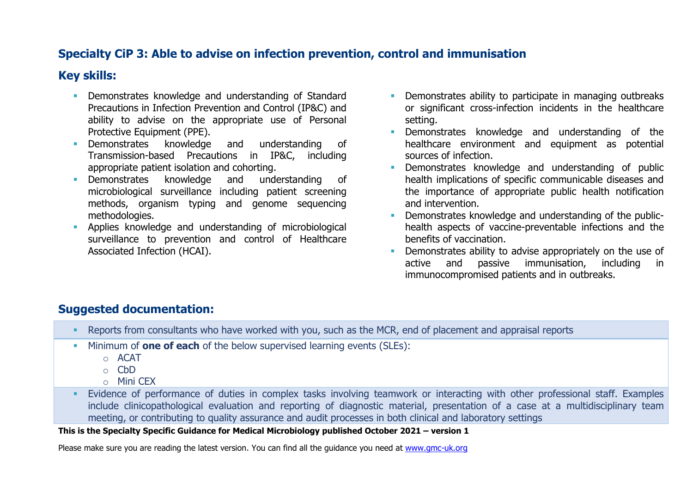# **Specialty CiP 3: Able to advise on infection prevention, control and immunisation**

# **Key skills:**

- **Demonstrates knowledge and understanding of Standard** Precautions in Infection Prevention and Control (IP&C) and ability to advise on the appropriate use of Personal Protective Equipment (PPE).
- Demonstrates knowledge and understanding of Transmission-based Precautions in IP&C, including appropriate patient isolation and cohorting.
- Demonstrates knowledge and understanding of microbiological surveillance including patient screening methods, organism typing and genome sequencing methodologies.
- Applies knowledge and understanding of microbiological surveillance to prevention and control of Healthcare Associated Infection (HCAI).
- **•** Demonstrates ability to participate in managing outbreaks or significant cross-infection incidents in the healthcare setting.
- **•** Demonstrates knowledge and understanding of the healthcare environment and equipment as potential sources of infection.
- **EXECUTE:** Demonstrates knowledge and understanding of public health implications of specific communicable diseases and the importance of appropriate public health notification and intervention.
- **•** Demonstrates knowledge and understanding of the publichealth aspects of vaccine-preventable infections and the benefits of vaccination.
- **•** Demonstrates ability to advise appropriately on the use of active and passive immunisation, including in immunocompromised patients and in outbreaks.

# **Suggested documentation:**

- Reports from consultants who have worked with you, such as the MCR, end of placement and appraisal reports
- Minimum of **one of each** of the below supervised learning events (SLEs):
	- o ACAT
	- o CbD
	- $\circ$  Mini CFX
- **Evidence of performance of duties in complex tasks involving teamwork or interacting with other professional staff. Examples** include clinicopathological evaluation and reporting of diagnostic material, presentation of a case at a multidisciplinary team meeting, or contributing to quality assurance and audit processes in both clinical and laboratory settings

### **This is the Specialty Specific Guidance for Medical Microbiology published October 2021 – version 1**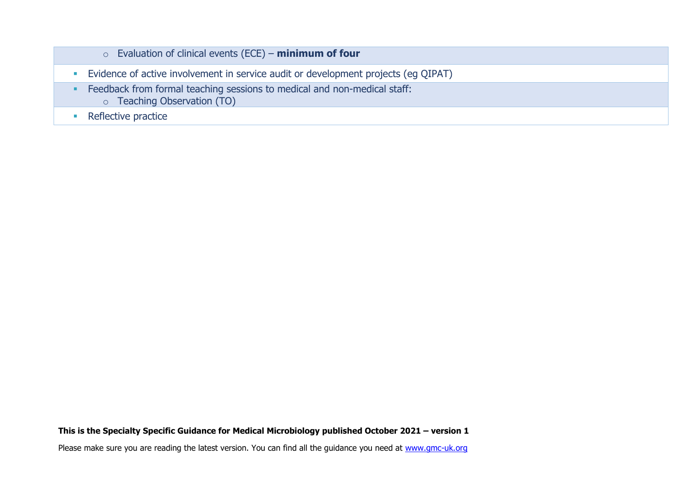| $\circ$ Evaluation of clinical events (ECE) – minimum of four                                                  |
|----------------------------------------------------------------------------------------------------------------|
| Evidence of active involvement in service audit or development projects (eg QIPAT)                             |
| Feedback from formal teaching sessions to medical and non-medical staff:<br><b>O</b> Teaching Observation (TO) |
| Reflective practice                                                                                            |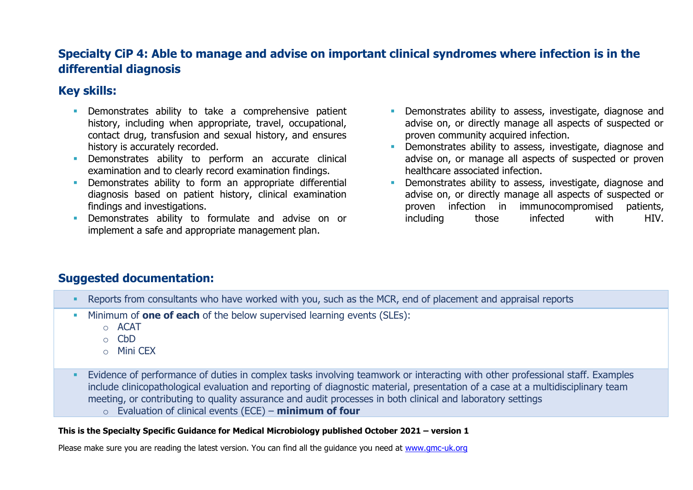# **Specialty CiP 4: Able to manage and advise on important clinical syndromes where infection is in the differential diagnosis**

# **Key skills:**

- **EXEC** Demonstrates ability to take a comprehensive patient history, including when appropriate, travel, occupational, contact drug, transfusion and sexual history, and ensures history is accurately recorded.
- Demonstrates ability to perform an accurate clinical examination and to clearly record examination findings.
- **EXECUTE:** Demonstrates ability to form an appropriate differential diagnosis based on patient history, clinical examination findings and investigations.
- Demonstrates ability to formulate and advise on or implement a safe and appropriate management plan.
- **•** Demonstrates ability to assess, investigate, diagnose and advise on, or directly manage all aspects of suspected or proven community acquired infection.
- **•** Demonstrates ability to assess, investigate, diagnose and advise on, or manage all aspects of suspected or proven healthcare associated infection.
- Demonstrates ability to assess, investigate, diagnose and advise on, or directly manage all aspects of suspected or proven infection in immunocompromised patients, including those infected with HIV.

# **Suggested documentation:**

- Reports from consultants who have worked with you, such as the MCR, end of placement and appraisal reports
- Minimum of **one of each** of the below supervised learning events (SLEs):
	- o ACAT
	- o CbD
	- o Mini CEX
- **Evidence of performance of duties in complex tasks involving teamwork or interacting with other professional staff. Examples** include clinicopathological evaluation and reporting of diagnostic material, presentation of a case at a multidisciplinary team meeting, or contributing to quality assurance and audit processes in both clinical and laboratory settings o Evaluation of clinical events (ECE) – **minimum of four**

### **This is the Specialty Specific Guidance for Medical Microbiology published October 2021 – version 1**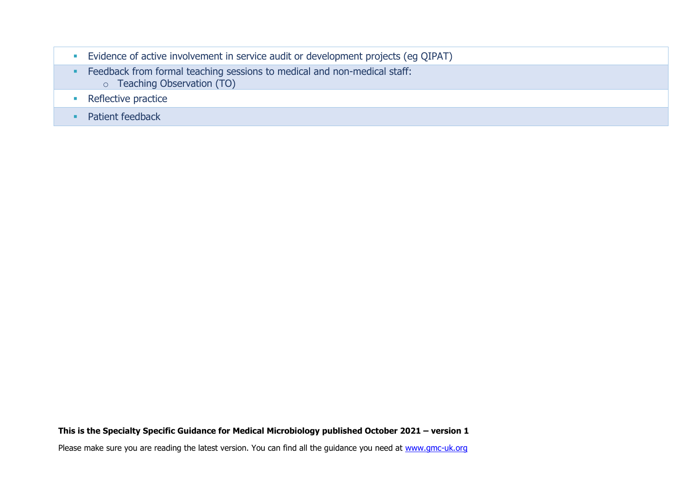**Evidence of active involvement in service audit or development projects (eg QIPAT) •** Feedback from formal teaching sessions to medical and non-medical staff: o Teaching Observation (TO) ■ Reflective practice ■ Patient feedback

**This is the Specialty Specific Guidance for Medical Microbiology published October 2021 – version 1**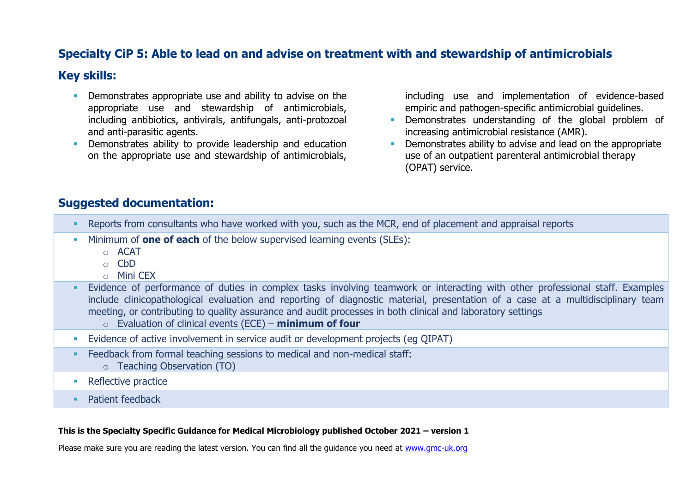# **Specialty CiP 5: Able to lead on and advise on treatment with and stewardship of antimicrobials**

### **Key skills:**

- **•** Demonstrates appropriate use and ability to advise on the appropriate use and stewardship of antimicrobials, including antibiotics, antivirals, antifungals, anti-protozoal and anti-parasitic agents.
- **•** Demonstrates ability to provide leadership and education on the appropriate use and stewardship of antimicrobials,

including use and implementation of evidence-based empiric and pathogen-specific antimicrobial guidelines.

- **•** Demonstrates understanding of the global problem of increasing antimicrobial resistance (AMR).
- Demonstrates ability to advise and lead on the appropriate use of an outpatient parenteral antimicrobial therapy (OPAT) service.

### **Suggested documentation:**

- Reports from consultants who have worked with you, such as the MCR, end of placement and appraisal reports
- Minimum of **one of each** of the below supervised learning events (SLEs):
	- o ACAT
	- o CbD
	- o Mini CEX
- **Evidence of performance of duties in complex tasks involving teamwork or interacting with other professional staff. Examples** include clinicopathological evaluation and reporting of diagnostic material, presentation of a case at a multidisciplinary team meeting, or contributing to quality assurance and audit processes in both clinical and laboratory settings
	- o Evaluation of clinical events (ECE) **minimum of four**
- **Evidence of active involvement in service audit or development projects (eq QIPAT)**
- Feedback from formal teaching sessions to medical and non-medical staff: o Teaching Observation (TO)
- Reflective practice
- Patient feedback

### **This is the Specialty Specific Guidance for Medical Microbiology published October 2021 – version 1**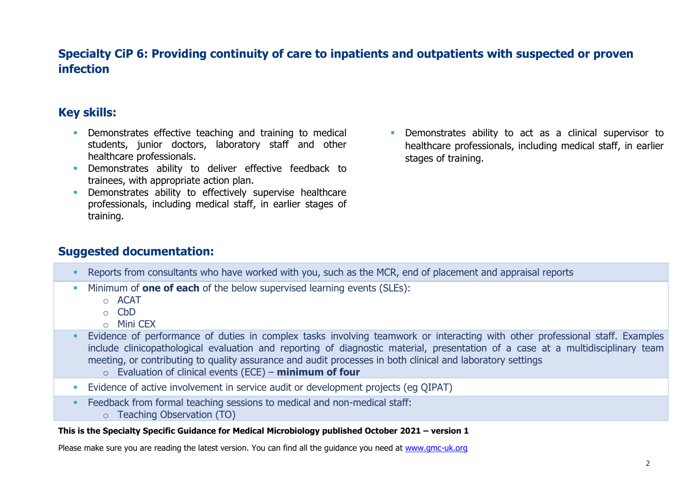# **Specialty CiP 6: Providing continuity of care to inpatients and outpatients with suspected or proven infection**

# **Key skills:**

- **EXECT** Demonstrates effective teaching and training to medical students, junior doctors, laboratory staff and other healthcare professionals.
- **·** Demonstrates ability to deliver effective feedback to trainees, with appropriate action plan.
- **EXECT** Demonstrates ability to effectively supervise healthcare professionals, including medical staff, in earlier stages of training.
- **EXECUTE:** Demonstrates ability to act as a clinical supervisor to healthcare professionals, including medical staff, in earlier stages of training.

# **Suggested documentation:**

- Reports from consultants who have worked with you, such as the MCR, end of placement and appraisal reports
- Minimum of **one of each** of the below supervised learning events (SLEs):
	- o ACAT
	- o CbD
	- $\circ$  Mini CFX
- **Evidence of performance of duties in complex tasks involving teamwork or interacting with other professional staff. Examples** include clinicopathological evaluation and reporting of diagnostic material, presentation of a case at a multidisciplinary team meeting, or contributing to quality assurance and audit processes in both clinical and laboratory settings
	- o Evaluation of clinical events (ECE) **minimum of four**
- **Evidence of active involvement in service audit or development projects (eq QIPAT)**
- Feedback from formal teaching sessions to medical and non-medical staff:
	- o Teaching Observation (TO)

### **This is the Specialty Specific Guidance for Medical Microbiology published October 2021 – version 1**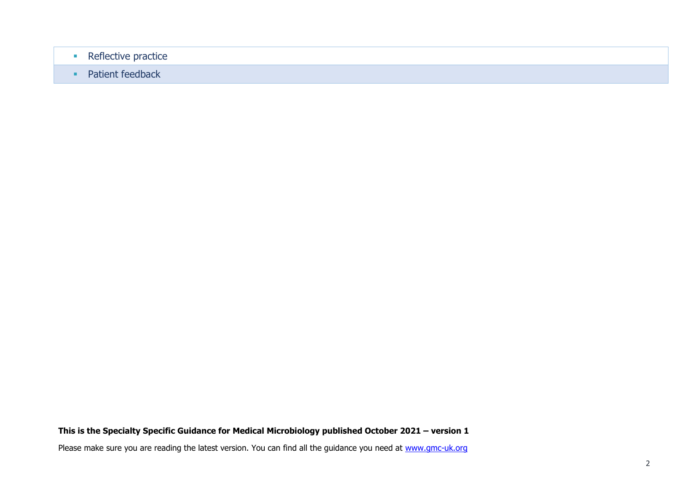- Reflective practice
- Patient feedback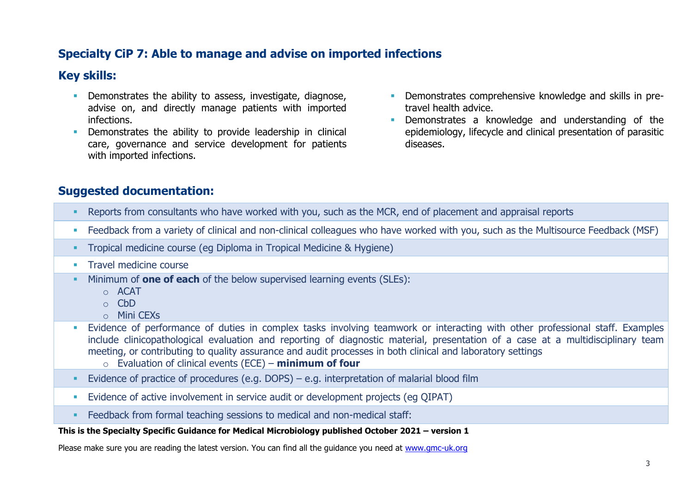# **Specialty CiP 7: Able to manage and advise on imported infections**

# **Key skills:**

- **•** Demonstrates the ability to assess, investigate, diagnose, advise on, and directly manage patients with imported infections.
- **•** Demonstrates the ability to provide leadership in clinical care, governance and service development for patients with imported infections.
- **•** Demonstrates comprehensive knowledge and skills in pretravel health advice.
- **•** Demonstrates a knowledge and understanding of the epidemiology, lifecycle and clinical presentation of parasitic diseases.

# **Suggested documentation:**

- Reports from consultants who have worked with you, such as the MCR, end of placement and appraisal reports
- Feedback from a variety of clinical and non-clinical colleagues who have worked with you, such as the Multisource Feedback (MSF)
- Tropical medicine course (eg Diploma in Tropical Medicine & Hygiene)
- **Travel medicine course**
- Minimum of **one of each** of the below supervised learning events (SLEs):
	- o ACAT
	- $\circ$  C<sub>b</sub>D
	- o Mini CEXs
- **Evidence of performance of duties in complex tasks involving teamwork or interacting with other professional staff. Examples** include clinicopathological evaluation and reporting of diagnostic material, presentation of a case at a multidisciplinary team meeting, or contributing to quality assurance and audit processes in both clinical and laboratory settings
	- o Evaluation of clinical events (ECE) **minimum of four**
- Evidence of practice of procedures (e.g. DOPS) e.g. interpretation of malarial blood film
- **Evidence of active involvement in service audit or development projects (eq QIPAT)**
- Feedback from formal teaching sessions to medical and non-medical staff:

### **This is the Specialty Specific Guidance for Medical Microbiology published October 2021 – version 1**